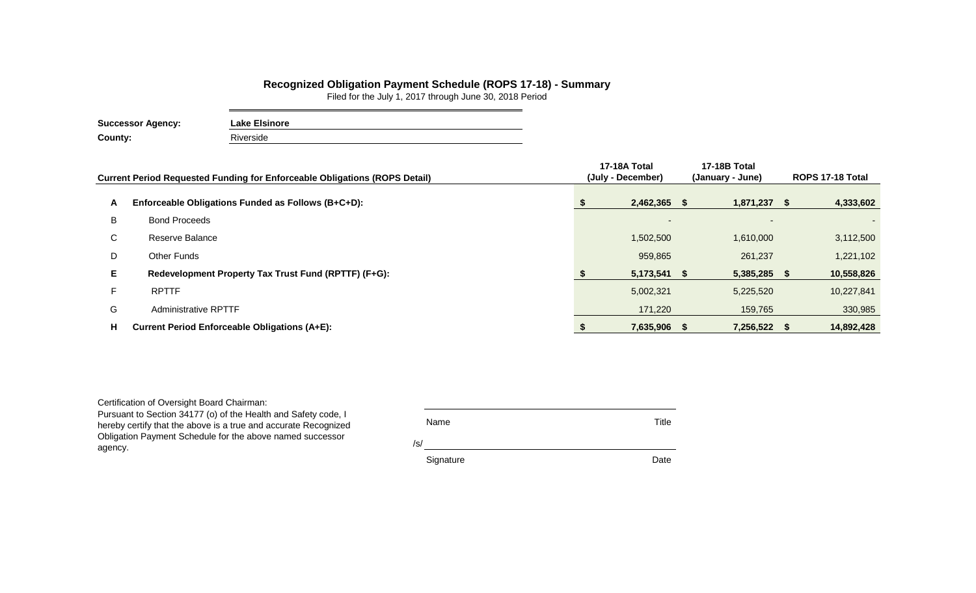## **Recognized Obligation Payment Schedule (ROPS 17-18) - Summary**

Filed for the July 1, 2017 through June 30, 2018 Period

| <b>Successor Agency:</b> | <b>Lake Elsinore</b> |  |  |  |  |  |  |
|--------------------------|----------------------|--|--|--|--|--|--|
| County:                  | Riverside            |  |  |  |  |  |  |

|    | <b>Current Period Requested Funding for Enforceable Obligations (ROPS Detail)</b> | 17-18A Total<br>(July - December) | 17-18B Total<br>(January - June) | ROPS 17-18 Total |
|----|-----------------------------------------------------------------------------------|-----------------------------------|----------------------------------|------------------|
|    |                                                                                   |                                   |                                  |                  |
| A  | Enforceable Obligations Funded as Follows (B+C+D):                                | $2,462,365$ \$                    | $1,871,237$ \$                   | 4,333,602        |
| B  | <b>Bond Proceeds</b>                                                              | $\sim$                            | $\sim$                           |                  |
| C. | Reserve Balance                                                                   | 1,502,500                         | 1,610,000                        | 3,112,500        |
| D  | Other Funds                                                                       | 959,865                           | 261,237                          | 1,221,102        |
| E. | Redevelopment Property Tax Trust Fund (RPTTF) (F+G):                              | $5,173,541$ \$                    | 5,385,285 \$                     | 10,558,826       |
| F. | <b>RPTTF</b>                                                                      | 5,002,321                         | 5,225,520                        | 10,227,841       |
| G  | <b>Administrative RPTTF</b>                                                       | 171,220                           | 159,765                          | 330,985          |
| Н. | <b>Current Period Enforceable Obligations (A+E):</b>                              | 7,635,906                         | 7,256,522 \$                     | 14,892,428       |

Certification of Oversight Board Chairman:

Pursuant to Section 34177 (o) of the Health and Safety code, I hereby certify that the above is a true and accurate Recognized Obligation Payment Schedule for the above named successor agency.

Name Title

/s/

Signature Date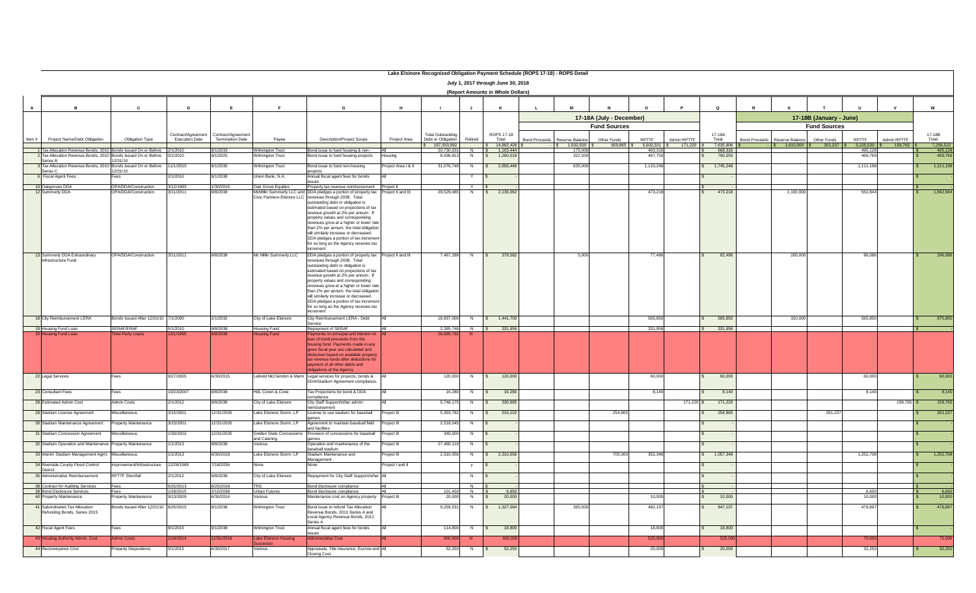|                 |                                                                                                                                           |                                                            |                        |                                       |                                          |                                                                                                                                                                                                                                                                                                                                                                                                                                                                                                                                                                                                            |                       | Lake Elsinore Recognized Obligation Payment Schedule (ROPS 17-18) - ROPS Detail |                     |                                                    |                      |                                     |                          |                         |                                 |                    |                                                            |                         |                    |             |        |                    |
|-----------------|-------------------------------------------------------------------------------------------------------------------------------------------|------------------------------------------------------------|------------------------|---------------------------------------|------------------------------------------|------------------------------------------------------------------------------------------------------------------------------------------------------------------------------------------------------------------------------------------------------------------------------------------------------------------------------------------------------------------------------------------------------------------------------------------------------------------------------------------------------------------------------------------------------------------------------------------------------------|-----------------------|---------------------------------------------------------------------------------|---------------------|----------------------------------------------------|----------------------|-------------------------------------|--------------------------|-------------------------|---------------------------------|--------------------|------------------------------------------------------------|-------------------------|--------------------|-------------|--------|--------------------|
|                 | July 1, 2017 through June 30, 2018<br>(Report Amounts in Whole Dollars)                                                                   |                                                            |                        |                                       |                                          |                                                                                                                                                                                                                                                                                                                                                                                                                                                                                                                                                                                                            |                       |                                                                                 |                     |                                                    |                      |                                     |                          |                         |                                 |                    |                                                            |                         |                    |             |        |                    |
|                 |                                                                                                                                           |                                                            |                        |                                       |                                          |                                                                                                                                                                                                                                                                                                                                                                                                                                                                                                                                                                                                            |                       |                                                                                 |                     |                                                    |                      |                                     |                          |                         |                                 |                    |                                                            |                         |                    |             |        |                    |
| A               |                                                                                                                                           | $\mathbf{c}$                                               | D                      | E                                     |                                          | G                                                                                                                                                                                                                                                                                                                                                                                                                                                                                                                                                                                                          |                       |                                                                                 | J                   | K                                                  |                      | M                                   |                          |                         | $\circ$                         |                    |                                                            |                         |                    |             | W      |                    |
|                 |                                                                                                                                           |                                                            |                        |                                       |                                          |                                                                                                                                                                                                                                                                                                                                                                                                                                                                                                                                                                                                            |                       |                                                                                 |                     |                                                    |                      |                                     | 17-18A (July - December) |                         |                                 |                    |                                                            | 17-18B (January - June) |                    |             |        |                    |
|                 |                                                                                                                                           |                                                            |                        | Contract/Agreement Contract/Agreement |                                          |                                                                                                                                                                                                                                                                                                                                                                                                                                                                                                                                                                                                            |                       | <b>Total Outstanding</b>                                                        |                     | ROPS 17-18                                         |                      |                                     | <b>Fund Sources</b>      |                         | 17-18A                          |                    |                                                            | <b>Fund Sources</b>     |                    |             | 17-18B |                    |
| Item #          | Project Name/Debt Obligation                                                                                                              | Obligation Type                                            | <b>Execution Date</b>  | <b>Termination Date</b>               | Payee                                    | Description/Project Scope                                                                                                                                                                                                                                                                                                                                                                                                                                                                                                                                                                                  | Project Area          | Debt or Obligation<br>197,353,992                                               | Retired             | Total<br>14,892,428                                | <b>Bond Proceeds</b> | Reserve Balance<br>$$ 1,502,500$ \$ | Other Funds<br>959,865   | RPTTF<br>$5,002,321$ \$ | Admin RPTTF<br>Total<br>171,220 | 7,635,906          | Bond Proceeds Reserve Balance<br>$$ 1,610,000$ $$ 261,237$ | Other Funds             | RPTTF<br>5,225,520 | Admin RPTTF | Total  | 7,256,522          |
|                 | 1 Tax Allocation Revenue Bonds, 2010 Bonds Issued On or Before 2/1/2010<br>2 Tax Allocation Revenue Bonds, 2010 Bonds Issued On or Before |                                                            | 5/1/2010               | 9/1/2033<br>/1/2025                   | Wilmington Trust<br>Vilmington Trust     | Bond issue to fund housing & non-<br>Bond issue to fund housing projects                                                                                                                                                                                                                                                                                                                                                                                                                                                                                                                                   | <b>IAI</b><br>Housing | 20,730,631<br>8,436,813                                                         | N<br>N              | 1,163,444<br>$\overline{\phantom{a}}$<br>1,260,019 |                      | 175,000<br>322,500                  |                          | 493,316<br>467,750      |                                 | 668,316<br>790,250 |                                                            |                         | 495.128<br>469,76  |             |        | 495,128<br>469,769 |
|                 | Series B<br>3 Tax Allocation Revenue Bonds, 2010 Bonds Issued On or Before                                                                | 12/31/10                                                   | 11/1/2010              | 9/1/2030                              | Wilmington Trust                         | Bond issue to fund non-housing                                                                                                                                                                                                                                                                                                                                                                                                                                                                                                                                                                             | Project Area I & II   | 31,076,749                                                                      | N                   | \$2.856.44                                         |                      | 635,000                             |                          | 1,110,248               |                                 | 1,745,248          |                                                            |                         | 1.111.19           |             |        | 1,111,198          |
|                 | Series C<br>6 Fiscal Agent Fees                                                                                                           | 12/31/10<br>Fees                                           | 2/1/2010               | 9/1/2038                              | Union Bank, N.A.                         | Annual fiscal agent fees for bonds                                                                                                                                                                                                                                                                                                                                                                                                                                                                                                                                                                         | All                   |                                                                                 |                     |                                                    |                      |                                     |                          |                         |                                 |                    |                                                            |                         |                    |             |        |                    |
|                 |                                                                                                                                           |                                                            |                        |                                       |                                          | sues                                                                                                                                                                                                                                                                                                                                                                                                                                                                                                                                                                                                       |                       |                                                                                 |                     |                                                    |                      |                                     |                          |                         |                                 |                    |                                                            |                         |                    |             |        |                    |
|                 | 10 Oakgroves DDA<br>12 Summerly DDA                                                                                                       | <b>OPA/DDA/Construction</b><br><b>OPA/DDA/Construction</b> | 3/12/1993<br>3/11/2011 | 1/30/2016<br>9/8/2038                 | Oak Grove Equities                       | Oak Grove Equities Property tax revenue reimbursement Project II<br>McMillin Summerly LLC and DDA pledges a portion of property tax Project II and III<br>Civic Partners-Elsinore LLC revenues through 2038. Total<br>outstanding debt or obligation is<br>stimated based on projections of tax<br>revenue growth at 2% per annum. If<br>property values and corresponding<br>revenues grow at a higher or lower rate<br>than 2% per annum, the total obligation<br>will similarly increase or decreased.<br>DDA pledges a portion of tax increment<br>for so long as the Agency receives tax<br>increment |                       | 29,529,485                                                                      | N                   | \$2,136,062                                        |                      |                                     |                          | 473,218                 |                                 | 473,218            | 1.100,000                                                  |                         | 562,844            |             |        | 1,662,844          |
|                 | 13 Summerly DDA Extraordinary<br>nfrastructure Fund                                                                                       | <b>OPA/DDA/Construction</b>                                | 3/11/2011              | 9/8/2038                              | Mc Millin Summerly LLC                   | DDA pledges a portion of property tax Project II and III<br>evenues through 2038. Total<br>outstanding debt or obligation is<br>stimated based on projections of tax<br>revenue growth at 2% per annum. If<br>property values and corresponding<br>evenues grow at a higher or lower rate<br>than 2% per annum, the total obligation<br>will similarly increase or decreased.<br>DDA pledges a portion of tax increment<br>for so long as the Agency receives tax<br>increment                                                                                                                             |                       | 7,467,288                                                                       | N                   | 378,582<br>S                                       |                      | 5,000                               |                          | 77,496                  |                                 | 82,496             | 200,000                                                    |                         | 96,086             |             |        | 296,086            |
|                 | 18 City Reimbursement LERA                                                                                                                | Bonds Issued After 12/31/10 7/1/2000                       |                        | 2/1/2032                              | City of Lake Elsinore                    | City Reimbursement LERA - Debt<br>Service                                                                                                                                                                                                                                                                                                                                                                                                                                                                                                                                                                  | <b>AI</b>             | 16,937,000                                                                      | N                   | \$ 1,441,700                                       |                      |                                     |                          | 565,850                 |                                 | 565,850            | 310,000                                                    |                         | 565,850            |             |        | 875,850            |
|                 | 19 Housing Fund Loan<br><b>Jousing Fund Loar</b>                                                                                          | SERAF/ERAF<br><b>ird-Party Loans</b>                       | 5/1/2010<br>2/1/1995   | 9/8/2038                              | <b>Housing Fund</b>                      | Repayment of SERAF<br>ayments on principal and interest on                                                                                                                                                                                                                                                                                                                                                                                                                                                                                                                                                 | All                   | 2,395,746<br>26,699,792                                                         | $N$ \$              | 331,958                                            |                      |                                     |                          | 331,958                 |                                 | 331,958            |                                                            |                         |                    |             |        |                    |
|                 |                                                                                                                                           |                                                            |                        |                                       | ousina Fund                              | loan of bond proceeds from the<br>housing fund. Payments made in any<br>aiven fiscal vear are calculated and<br>lisbursed based on available propert<br>tax revenue funds after deductions for<br>payment of all other debts and<br>obligations of the Agency.                                                                                                                                                                                                                                                                                                                                             |                       |                                                                                 |                     |                                                    |                      |                                     |                          |                         |                                 |                    |                                                            |                         |                    |             |        |                    |
|                 | 22 Legal Services                                                                                                                         | Fees                                                       | 9/27/2005              | 6/30/2015                             |                                          | Leibold McClendon & Mann Legal services for projects, bonds &   All<br>DDA/Stadium Agreement compliance.                                                                                                                                                                                                                                                                                                                                                                                                                                                                                                   |                       | 120,000                                                                         | N                   | 120,000<br>$\mathbf{s}$                            |                      |                                     |                          | 60,000                  |                                 | 60,000             |                                                            |                         | 60,000             |             |        | 60,000             |
|                 | 23 Consultant Fees                                                                                                                        | Fees                                                       | 10/23/2007             | 9/8/2038                              | HdL Coren & Cone                         | Tax Projections for bond & DDA<br>compliance                                                                                                                                                                                                                                                                                                                                                                                                                                                                                                                                                               | All                   | 16,280                                                                          | N                   | 16,280                                             |                      |                                     |                          | 8.140                   |                                 | 8,140              |                                                            |                         | 8.140              |             |        | 8,140              |
|                 | 28 Estimated Admin Cost                                                                                                                   | <b>Admin Costs</b>                                         | 2/1/2012               | 9/8/2038                              | City of Lake Elsinore                    | City Staff Support/other admin<br>eimbursement                                                                                                                                                                                                                                                                                                                                                                                                                                                                                                                                                             |                       | 5,748,175                                                                       | N                   | 330,985                                            |                      |                                     |                          |                         | $171,220$ \$                    | 171,220            |                                                            |                         |                    | 159,765 \$  |        | 159,765            |
|                 | 29 Stadium License Agreement                                                                                                              | Miscellaneous                                              | 3/15/2001              | 12/31/2026                            | Lake Elsinore Storm, LP                  | License to use stadium for baseball<br>mes                                                                                                                                                                                                                                                                                                                                                                                                                                                                                                                                                                 | Project III           | 5,393,782                                                                       | N                   | 516,102<br>$\mathbf{s}$                            |                      |                                     | 254,865                  |                         |                                 | 254,865            |                                                            | 261,237                 |                    |             |        | 261,237            |
|                 | 30 Stadium Maintenance Agreement                                                                                                          | Property Maintenance                                       | 3/15/2001              | 12/31/2026                            | Lake Elsinore Storm, LP                  | Agreement to maintain baseball field<br>and facilities                                                                                                                                                                                                                                                                                                                                                                                                                                                                                                                                                     | Project III           | 2,518,045                                                                       | N                   |                                                    |                      |                                     |                          |                         |                                 |                    |                                                            |                         |                    |             |        |                    |
|                 | 31 Stadium Concession Agreement                                                                                                           | scellaneous                                                | /30/2002               | 12/31/2026                            | Golden State Concessions<br>and Catering | rovision of concessions for baseball<br>ames                                                                                                                                                                                                                                                                                                                                                                                                                                                                                                                                                               | Project III           | 340,000                                                                         | N                   |                                                    |                      |                                     |                          |                         |                                 |                    |                                                            |                         |                    |             |        |                    |
|                 | 32 Stadium Operation and Maintenance Property Maintenance                                                                                 |                                                            | /1/2013                | 9/8/2038                              | Various                                  | Operation and maintenance of the<br>baseball stadium                                                                                                                                                                                                                                                                                                                                                                                                                                                                                                                                                       | Project III           | 27,480,119                                                                      | N                   |                                                    |                      |                                     |                          |                         |                                 |                    |                                                            |                         |                    |             |        |                    |
|                 | 33 Interim Stadium Management Agmt. Miscellaneous                                                                                         |                                                            | 1/1/2013               | 6/30/2018                             | Lake Elsinore Storm, LP                  | Stadium Maintenance and<br>Management                                                                                                                                                                                                                                                                                                                                                                                                                                                                                                                                                                      | Project III           | 2,310,056                                                                       | N                   | \$2,310,056                                        |                      |                                     | 705,000                  | 352,348                 | \$ 1,057,348                    |                    |                                                            |                         | 1,252,708          |             | S.     | 1,252,708          |
|                 | 34 Riverside County Flood Control<br><b>District</b>                                                                                      | Improvement/Infrastructure                                 | 12/26/1989             | /18/2034                              | None                                     | <b>None</b>                                                                                                                                                                                                                                                                                                                                                                                                                                                                                                                                                                                                | Project I and II      |                                                                                 | y                   |                                                    |                      |                                     |                          |                         |                                 |                    |                                                            |                         |                    |             |        |                    |
|                 | 35 Administrative Reimbursement                                                                                                           | <b>RPTTF Shortfall</b>                                     | 2/1/2012               | 9/8/2038                              | City of Lake Elsinore                    | Repayment for City Staff Support/other All                                                                                                                                                                                                                                                                                                                                                                                                                                                                                                                                                                 |                       |                                                                                 | N                   |                                                    |                      |                                     |                          |                         |                                 |                    |                                                            |                         |                    |             |        |                    |
|                 | 38 Contract for Auditing Services                                                                                                         | Fees                                                       | 6/25/2013              | 6/25/2018                             | <b>TRS</b>                               | Bond disclosure compliance                                                                                                                                                                                                                                                                                                                                                                                                                                                                                                                                                                                 |                       |                                                                                 | $\overline{N}$      |                                                    |                      |                                     |                          |                         |                                 |                    |                                                            |                         |                    |             |        |                    |
| 40 <sup>2</sup> | 39 Bond Disclosure Services<br>Property Maintenance                                                                                       | ees<br>roperty Maintenance                                 | 1/28/2015<br>9/13/2009 | 2/15/2038<br>3/30/2014                | Urban Futures<br>Various                 | Bond disclosure compliance<br>aintenance cost on Agency property Project III                                                                                                                                                                                                                                                                                                                                                                                                                                                                                                                               |                       | 101,450<br>20,000                                                               | $\overline{N}$<br>N | 6,650<br>20,000                                    |                      |                                     |                          | 10,000                  |                                 | 10,000             |                                                            |                         | 6,650<br>10,000    |             |        | 6,650<br>10,000    |
|                 |                                                                                                                                           |                                                            |                        |                                       |                                          |                                                                                                                                                                                                                                                                                                                                                                                                                                                                                                                                                                                                            |                       |                                                                                 |                     |                                                    |                      |                                     |                          |                         |                                 |                    |                                                            |                         |                    |             |        |                    |
|                 | 41 Subordinated Tax Allocation<br>Refunding Bonds, Series 2015                                                                            | Bonds Issued After 12/31/10 8/25/2015                      |                        | 9/1/2038                              | Wilmington Trust                         | Bond issue to refund Tax Allocation<br>Revenue Bonds, 2011 Series A and<br>Local Agency Revenue Bonds, 2011<br>Series A                                                                                                                                                                                                                                                                                                                                                                                                                                                                                    |                       | 9.259.531                                                                       | N                   | 1,327,094<br>$\hat{\mathbf{z}}$                    |                      | 365,000                             |                          | 482.197                 |                                 | 847,197            |                                                            |                         | 479.897            |             |        | 479,897            |
|                 | 42 Fiscal Agent Fees                                                                                                                      | Fees                                                       | 8/1/2015               | 9/1/2038                              | <b>Wilmington Trust</b>                  | Annual fiscal agent fees for bonds<br>ssues                                                                                                                                                                                                                                                                                                                                                                                                                                                                                                                                                                | A                     | 114,800                                                                         | N                   | 18,800                                             |                      |                                     |                          | 18,800                  |                                 | 18,800             |                                                            |                         |                    |             |        |                    |
|                 | 43 Housing Authority Admin. Cost                                                                                                          | dmin Costs                                                 | 2/18/2014              | 12/31/2018                            | <b>Lake Elsinore Housing</b>             | <b>Administrative Cost</b>                                                                                                                                                                                                                                                                                                                                                                                                                                                                                                                                                                                 |                       | 600,000                                                                         |                     | 600,000                                            |                      |                                     |                          | 525,000                 |                                 | 525,00             |                                                            |                         | 75,000             |             |        | 75,000             |
|                 | 44 Reconveyance Cost                                                                                                                      | roperty Dispositions                                       | 5/1/2015               | 6/30/2017                             | Various                                  | Appraisals, Title Insurance, Escrow and All<br><b>Closing Cost</b>                                                                                                                                                                                                                                                                                                                                                                                                                                                                                                                                         |                       | 52,250                                                                          | N                   | 52,250                                             |                      |                                     |                          | 20,000                  |                                 | 20,000             |                                                            |                         | 32,250             |             |        | 32,250             |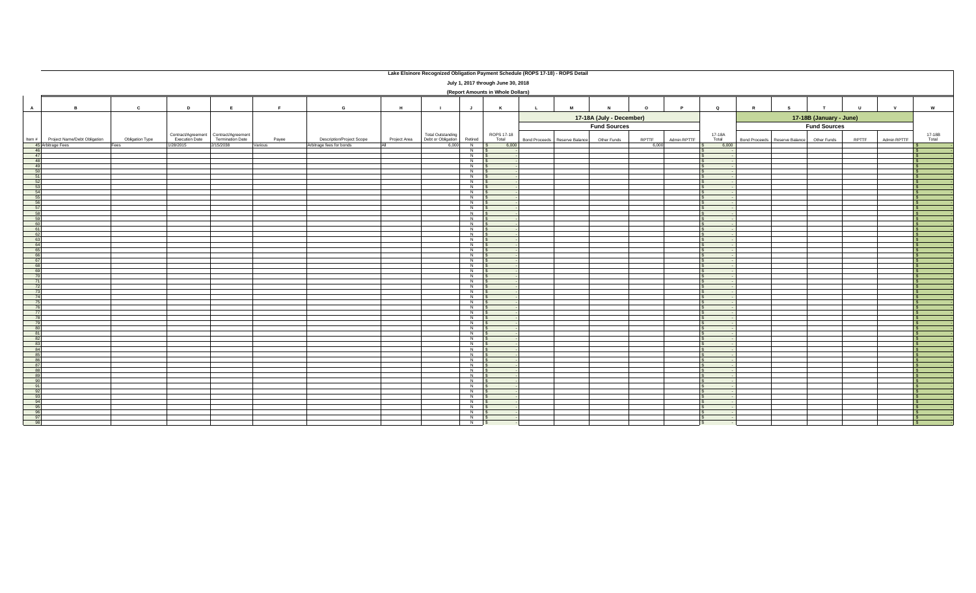|                |                                   |                 |           |                                                                          |         |                                  |              | Lake Elsinore Recognized Obligation Payment Schedule (ROPS 17-18) - ROPS Detail |                    |                                    |                               |   |                          |         |             |                 |                                           |    |                         |        |              |                           |
|----------------|-----------------------------------|-----------------|-----------|--------------------------------------------------------------------------|---------|----------------------------------|--------------|---------------------------------------------------------------------------------|--------------------|------------------------------------|-------------------------------|---|--------------------------|---------|-------------|-----------------|-------------------------------------------|----|-------------------------|--------|--------------|---------------------------|
|                |                                   |                 |           |                                                                          |         |                                  |              |                                                                                 |                    | July 1, 2017 through June 30, 2018 |                               |   |                          |         |             |                 |                                           |    |                         |        |              |                           |
|                | (Report Amounts in Whole Dollars) |                 |           |                                                                          |         |                                  |              |                                                                                 |                    |                                    |                               |   |                          |         |             |                 |                                           |    |                         |        |              |                           |
|                |                                   |                 |           |                                                                          |         |                                  |              |                                                                                 |                    |                                    |                               |   |                          |         |             |                 |                                           |    |                         |        |              |                           |
| $\overline{A}$ | $\overline{B}$                    | $\mathbf{c}$    | D         | E                                                                        | F       | G                                | H            | $\blacksquare$                                                                  | $\mathsf{J}$       | K                                  | $\mathsf{L}$                  | M | $\mathbf N$              | $\circ$ | P           | $\mathbf Q$     | $\mathbb{R}$                              | s. | T                       | $\cup$ | $\mathbf{v}$ | $\boldsymbol{\mathsf{w}}$ |
|                |                                   |                 |           |                                                                          |         |                                  |              |                                                                                 |                    |                                    |                               |   | 17-18A (July - December) |         |             |                 |                                           |    | 17-18B (January - June) |        |              |                           |
|                |                                   |                 |           |                                                                          |         |                                  |              |                                                                                 |                    |                                    |                               |   | <b>Fund Sources</b>      |         |             |                 |                                           |    | <b>Fund Sources</b>     |        |              |                           |
| Item $#$       | Project Name/Debt Obligation      | Obligation Type |           | Contract/Agreement Contract/Agreement<br>Execution Date Termination Date | Payee   | <b>Description/Project Scope</b> | Project Area | <b>Total Outstanding</b><br>Debt or Obligation                                  | Retired            | ROPS 17-18<br>Total                | Bond Proceeds Reserve Balance |   | Other Funds              | RPTTF   | Admin RPTTF | 17-18A<br>Total | Bond Proceeds Reserve Balance Other Funds |    |                         | RPTTF  | Admin RPTTF  | 17-18B<br>Total           |
|                | 45 Arbitrage Fees                 | Fees            | 1/28/2015 | 2/15/2038                                                                | Various | Arbitrage fees for bonds         | All          | 6,000                                                                           | $N$ \$             | 6,000                              |                               |   |                          | 6,000   |             | 6,000           |                                           |    |                         |        |              |                           |
| 46<br>47       |                                   |                 |           |                                                                          |         |                                  |              |                                                                                 | $N$ $S$<br>$N$ s   |                                    |                               |   |                          |         |             |                 |                                           |    |                         |        |              |                           |
| 48             |                                   |                 |           |                                                                          |         |                                  |              |                                                                                 | $N$ $S$            |                                    |                               |   |                          |         |             | $\sim$          |                                           |    |                         |        |              | $\mathbf{s}$              |
| 49             |                                   |                 |           |                                                                          |         |                                  |              |                                                                                 | $N$ \$<br>$N$ $S$  |                                    |                               |   |                          |         |             |                 |                                           |    |                         |        |              |                           |
| 51             |                                   |                 |           |                                                                          |         |                                  |              |                                                                                 | $N$ $\sqrt{S}$     |                                    |                               |   |                          |         |             | $\sim$          |                                           |    |                         |        |              |                           |
| 52<br>53       |                                   |                 |           |                                                                          |         |                                  |              |                                                                                 | $N$ $S$<br>$N$ $S$ |                                    |                               |   |                          |         |             |                 |                                           |    |                         |        |              | - \$                      |
| 54             |                                   |                 |           |                                                                          |         |                                  |              |                                                                                 | $N$ $S$            |                                    |                               |   |                          |         |             |                 |                                           |    |                         |        |              |                           |
| 55             |                                   |                 |           |                                                                          |         |                                  |              |                                                                                 | $N$ \$             |                                    |                               |   |                          |         |             |                 |                                           |    |                         |        |              |                           |
| 56<br>57       |                                   |                 |           |                                                                          |         |                                  |              |                                                                                 | $N$ \$<br>$N$ \$   |                                    |                               |   |                          |         |             |                 |                                           |    |                         |        |              |                           |
| 58             |                                   |                 |           |                                                                          |         |                                  |              |                                                                                 | $N$ $S$            |                                    |                               |   |                          |         |             |                 |                                           |    |                         |        |              | $\mathbf{s}$              |
| 60             |                                   |                 |           |                                                                          |         |                                  |              |                                                                                 | $N$ $S$<br>$N$ $S$ |                                    |                               |   |                          |         |             |                 |                                           |    |                         |        |              | $\hat{\mathbf{x}}$        |
| 61             |                                   |                 |           |                                                                          |         |                                  |              |                                                                                 | $N$ $S$            |                                    |                               |   |                          |         |             |                 |                                           |    |                         |        |              |                           |
| 63             |                                   |                 |           |                                                                          |         |                                  |              |                                                                                 | $N$ \$<br>$N$ \$   |                                    |                               |   |                          |         |             | $\sim$          |                                           |    |                         |        |              | s.                        |
| 64             |                                   |                 |           |                                                                          |         |                                  |              |                                                                                 | $N$ \$             |                                    |                               |   |                          |         |             | $\sim$          |                                           |    |                         |        |              |                           |
| 65<br>66       |                                   |                 |           |                                                                          |         |                                  |              |                                                                                 | $N$ $S$<br>$N$ \$  |                                    |                               |   |                          |         |             |                 |                                           |    |                         |        |              |                           |
| 67             |                                   |                 |           |                                                                          |         |                                  |              |                                                                                 | $N$ \$             |                                    |                               |   |                          |         |             |                 |                                           |    |                         |        |              |                           |
| 68<br>-69      |                                   |                 |           |                                                                          |         |                                  |              |                                                                                 | N<br>$N$ \$        |                                    |                               |   |                          |         |             |                 |                                           |    |                         |        |              |                           |
| 70             |                                   |                 |           |                                                                          |         |                                  |              |                                                                                 | $N$ \$             |                                    |                               |   |                          |         |             |                 |                                           |    |                         |        |              | $\mathbf{s}$              |
| 71             |                                   |                 |           |                                                                          |         |                                  |              |                                                                                 | $N$ $S$<br>$N$ \$  |                                    |                               |   |                          |         |             |                 |                                           |    |                         |        |              | $\hat{\mathbf{x}}$        |
| 72<br>73       |                                   |                 |           |                                                                          |         |                                  |              |                                                                                 | $N$ $S$            |                                    |                               |   |                          |         |             |                 |                                           |    |                         |        |              | $\mathbf{s}$              |
| 74             |                                   |                 |           |                                                                          |         |                                  |              |                                                                                 | $N$ \$             |                                    |                               |   |                          |         |             |                 |                                           |    |                         |        |              |                           |
| 75<br>76       |                                   |                 |           |                                                                          |         |                                  |              |                                                                                 | $N$ \$<br>$N$ $S$  |                                    |                               |   |                          |         |             | $\sim$          |                                           |    |                         |        |              | -S                        |
| 77             |                                   |                 |           |                                                                          |         |                                  |              |                                                                                 | $N$ $S$            |                                    |                               |   |                          |         |             |                 |                                           |    |                         |        |              |                           |
| 78<br>79       |                                   |                 |           |                                                                          |         |                                  |              |                                                                                 | $N$ $S$<br>$N$ $S$ |                                    |                               |   |                          |         |             |                 |                                           |    |                         |        |              | $\epsilon$                |
| 80             |                                   |                 |           |                                                                          |         |                                  |              |                                                                                 | $N$ $S$            |                                    |                               |   |                          |         |             |                 |                                           |    |                         |        |              |                           |
| 81<br>82       |                                   |                 |           |                                                                          |         |                                  |              |                                                                                 | $N$ \$<br>$N$ $S$  |                                    |                               |   |                          |         |             |                 |                                           |    |                         |        |              |                           |
| 83             |                                   |                 |           |                                                                          |         |                                  |              |                                                                                 | $N$ $S$            |                                    |                               |   |                          |         |             |                 |                                           |    |                         |        |              |                           |
| 84<br>85       |                                   |                 |           |                                                                          |         |                                  |              |                                                                                 | $N$ \$<br>$N$ $S$  |                                    |                               |   |                          |         |             |                 |                                           |    |                         |        |              | -S                        |
| 86             |                                   |                 |           |                                                                          |         |                                  |              |                                                                                 | $N$ $\sqrt{S}$     |                                    |                               |   |                          |         |             |                 |                                           |    |                         |        |              |                           |
| 87             |                                   |                 |           |                                                                          |         |                                  |              |                                                                                 | $N$ $S$            |                                    |                               |   |                          |         |             | $\sim$          |                                           |    |                         |        |              |                           |
| 88             |                                   |                 |           |                                                                          |         |                                  |              |                                                                                 | $N$ $S$<br>$N$ \$  |                                    |                               |   |                          |         |             |                 |                                           |    |                         |        |              |                           |
| 90             |                                   |                 |           |                                                                          |         |                                  |              |                                                                                 | $N$ \$             |                                    |                               |   |                          |         |             |                 |                                           |    |                         |        |              |                           |
| 91<br>- 92     |                                   |                 |           |                                                                          |         |                                  |              |                                                                                 | $N$ \$<br>$N$ \$   |                                    |                               |   |                          |         |             |                 |                                           |    |                         |        |              |                           |
| 93             |                                   |                 |           |                                                                          |         |                                  |              |                                                                                 | $N$ $\sqrt{S}$     |                                    |                               |   |                          |         |             |                 |                                           |    |                         |        |              | $\mathbf{s}$              |
| 94<br>95       |                                   |                 |           |                                                                          |         |                                  |              |                                                                                 | $N$ $S$<br>$N$ $S$ |                                    |                               |   |                          |         |             |                 |                                           |    |                         |        |              | S.                        |
|                |                                   |                 |           |                                                                          |         |                                  |              |                                                                                 | $N$ $S$            |                                    |                               |   |                          |         |             |                 |                                           |    |                         |        |              |                           |
| 97             |                                   |                 |           |                                                                          |         |                                  |              |                                                                                 | $N$ \$             |                                    |                               |   |                          |         |             |                 |                                           |    |                         |        |              |                           |
| $\Omega$       |                                   |                 |           |                                                                          |         |                                  |              |                                                                                 | $N$ \$             |                                    |                               |   |                          |         |             |                 |                                           |    |                         |        |              |                           |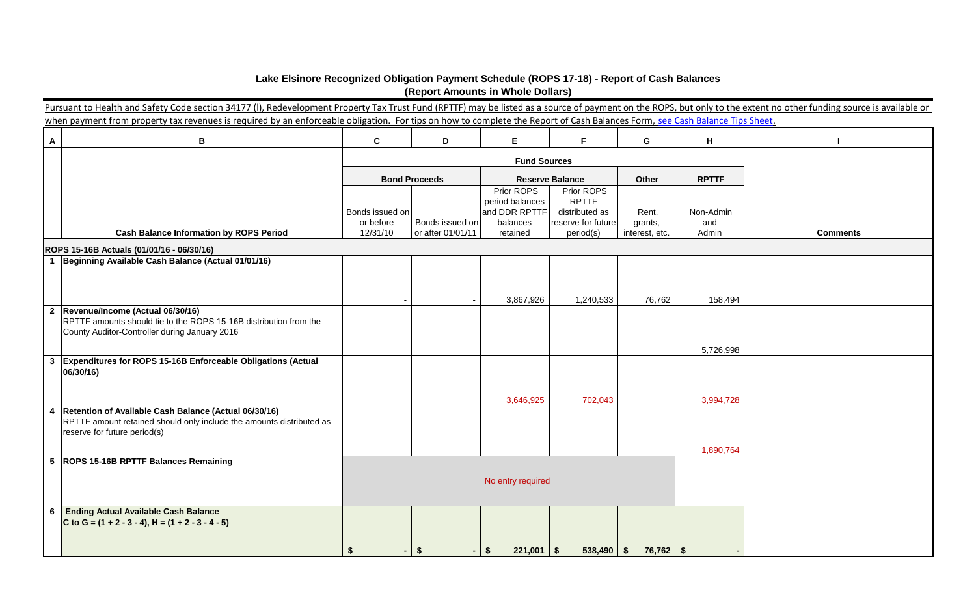|                           | Lake Elsinore Recognized Obligation Payment Schedule (ROPS 17-18) - Report of Cash Balances                                                                                                                          |                                          | (Report Amounts in Whole Dollars)    |                                                                        |                                                                                 |                                    |                           |                 |  |  |  |  |
|---------------------------|----------------------------------------------------------------------------------------------------------------------------------------------------------------------------------------------------------------------|------------------------------------------|--------------------------------------|------------------------------------------------------------------------|---------------------------------------------------------------------------------|------------------------------------|---------------------------|-----------------|--|--|--|--|
|                           | Pursuant to Health and Safety Code section 34177 (I), Redevelopment Property Tax Trust Fund (RPTTF) may be listed as a source of payment on the ROPS, but only to the extent no other funding source is available or |                                          |                                      |                                                                        |                                                                                 |                                    |                           |                 |  |  |  |  |
|                           | when payment from property tax revenues is required by an enforceable obligation. For tips on how to complete the Report of Cash Balances Form, see Cash Balance Tips Sheet.                                         |                                          |                                      |                                                                        |                                                                                 |                                    |                           |                 |  |  |  |  |
| $\boldsymbol{\mathsf{A}}$ | $\mathbf B$                                                                                                                                                                                                          | $\mathbf{c}$<br>F.<br>D<br>Е<br>G<br>н   |                                      |                                                                        |                                                                                 |                                    |                           |                 |  |  |  |  |
|                           |                                                                                                                                                                                                                      |                                          |                                      | <b>Fund Sources</b>                                                    |                                                                                 |                                    |                           |                 |  |  |  |  |
|                           |                                                                                                                                                                                                                      |                                          | <b>Bond Proceeds</b>                 |                                                                        | <b>Reserve Balance</b>                                                          | Other                              | <b>RPTTF</b>              |                 |  |  |  |  |
|                           | <b>Cash Balance Information by ROPS Period</b>                                                                                                                                                                       | Bonds issued on<br>or before<br>12/31/10 | Bonds issued on<br>or after 01/01/11 | Prior ROPS<br>period balances<br>and DDR RPTTF<br>balances<br>retained | Prior ROPS<br><b>RPTTF</b><br>distributed as<br>reserve for future<br>period(s) | Rent,<br>grants,<br>interest, etc. | Non-Admin<br>and<br>Admin | <b>Comments</b> |  |  |  |  |
|                           | ROPS 15-16B Actuals (01/01/16 - 06/30/16)                                                                                                                                                                            |                                          |                                      |                                                                        |                                                                                 |                                    |                           |                 |  |  |  |  |
|                           | 1 Beginning Available Cash Balance (Actual 01/01/16)                                                                                                                                                                 |                                          |                                      |                                                                        |                                                                                 |                                    |                           |                 |  |  |  |  |
|                           | 2 Revenue/Income (Actual 06/30/16)                                                                                                                                                                                   |                                          |                                      | 3,867,926                                                              | 1,240,533                                                                       | 76,762                             | 158,494                   |                 |  |  |  |  |
|                           | RPTTF amounts should tie to the ROPS 15-16B distribution from the<br>County Auditor-Controller during January 2016                                                                                                   |                                          |                                      |                                                                        |                                                                                 |                                    | 5,726,998                 |                 |  |  |  |  |
| $\mathbf{3}$              | Expenditures for ROPS 15-16B Enforceable Obligations (Actual<br>06/30/16)                                                                                                                                            |                                          |                                      |                                                                        |                                                                                 |                                    |                           |                 |  |  |  |  |
|                           |                                                                                                                                                                                                                      |                                          |                                      | 3,646,925                                                              | 702,043                                                                         |                                    | 3,994,728                 |                 |  |  |  |  |
| 4                         | Retention of Available Cash Balance (Actual 06/30/16)<br>RPTTF amount retained should only include the amounts distributed as<br>reserve for future period(s)                                                        |                                          |                                      |                                                                        |                                                                                 |                                    | 1,890,764                 |                 |  |  |  |  |
|                           | 5 ROPS 15-16B RPTTF Balances Remaining                                                                                                                                                                               |                                          |                                      |                                                                        |                                                                                 |                                    |                           |                 |  |  |  |  |
|                           |                                                                                                                                                                                                                      |                                          |                                      | No entry required                                                      |                                                                                 |                                    |                           |                 |  |  |  |  |
| 6                         | <b>Ending Actual Available Cash Balance</b><br>C to G = $(1 + 2 - 3 - 4)$ , H = $(1 + 2 - 3 - 4 - 5)$                                                                                                                |                                          |                                      |                                                                        |                                                                                 |                                    |                           |                 |  |  |  |  |
|                           |                                                                                                                                                                                                                      | \$                                       | \$                                   | $221,001$   \$<br>- \$                                                 | $538,490$   \$                                                                  | $76,762$   \$                      |                           |                 |  |  |  |  |